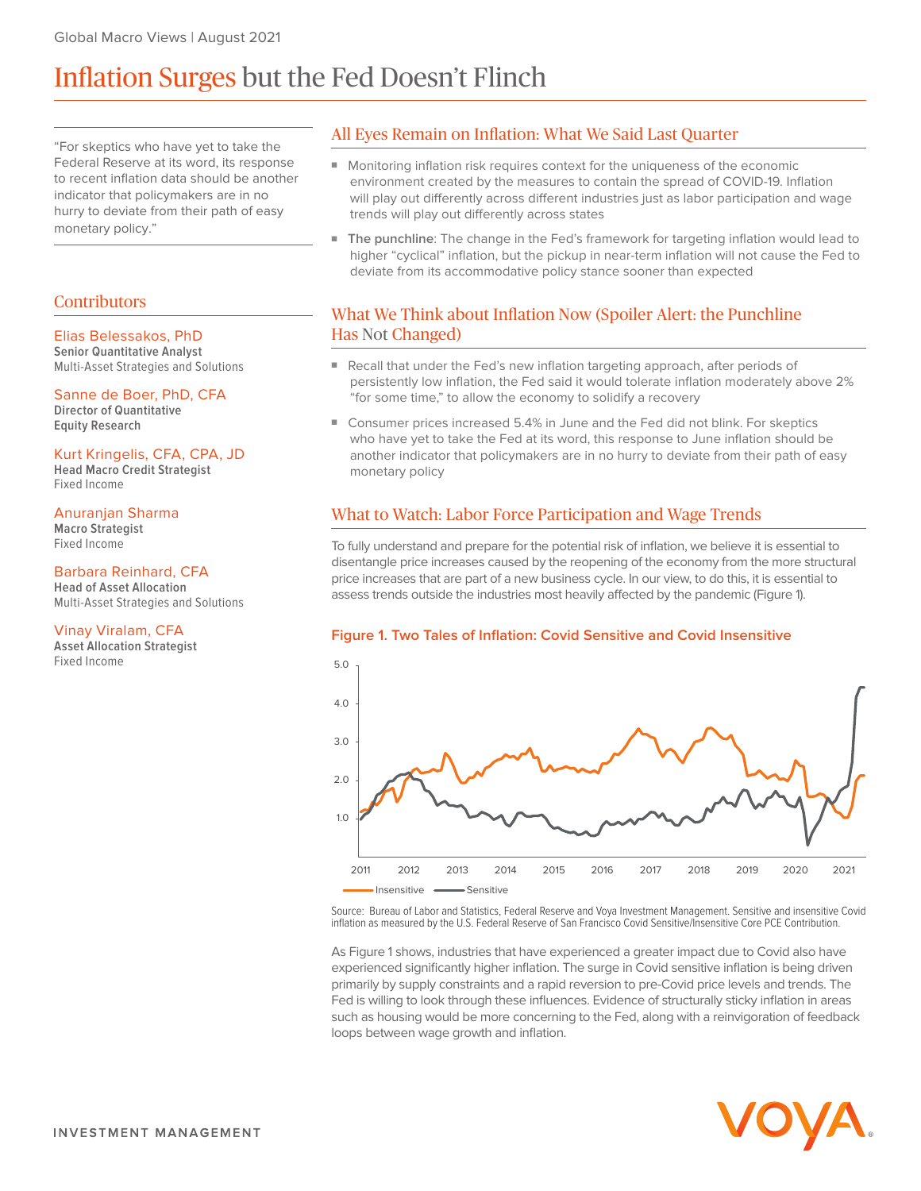# Inflation Surges but the Fed Doesn't Flinch

"For skeptics who have yet to take the Federal Reserve at its word, its response to recent inflation data should be another indicator that policymakers are in no hurry to deviate from their path of easy monetary policy."

## **Contributors**

### Elias Belessakos, PhD

**Senior Quantitative Analyst** Multi-Asset Strategies and Solutions

Sanne de Boer, PhD, CFA **Director of Quantitative Equity Research**

#### Kurt Kringelis, CFA, CPA, JD

**Head Macro Credit Strategist** Fixed Income

## Anuranjan Sharma

**Macro Strategist** Fixed Income

### Barbara Reinhard, CFA

**Head of Asset Allocation** Multi-Asset Strategies and Solutions

#### Vinay Viralam, CFA

**Asset Allocation Strategist** Fixed Income

## All Eyes Remain on Inflation: What We Said Last Quarter

- Monitoring inflation risk requires context for the uniqueness of the economic environment created by the measures to contain the spread of COVID-19. Inflation will play out differently across different industries just as labor participation and wage trends will play out differently across states
- **■ The punchline**: The change in the Fed's framework for targeting inflation would lead to higher "cyclical" inflation, but the pickup in near-term inflation will not cause the Fed to deviate from its accommodative policy stance sooner than expected

## What We Think about Inflation Now (Spoiler Alert: the Punchline Has Not Changed)

- Recall that under the Fed's new inflation targeting approach, after periods of persistently low inflation, the Fed said it would tolerate inflation moderately above 2% "for some time," to allow the economy to solidify a recovery
- Consumer prices increased 5.4% in June and the Fed did not blink. For skeptics who have yet to take the Fed at its word, this response to June inflation should be another indicator that policymakers are in no hurry to deviate from their path of easy monetary policy

## What to Watch: Labor Force Participation and Wage Trends

To fully understand and prepare for the potential risk of inflation, we believe it is essential to disentangle price increases caused by the reopening of the economy from the more structural price increases that are part of a new business cycle. In our view, to do this, it is essential to assess trends outside the industries most heavily affected by the pandemic (Figure 1).



Source: Bureau of Labor and Statistics, Federal Reserve and Voya Investment Management. Sensitive and insensitive Covid inflation as measured by the U.S. Federal Reserve of San Francisco Covid Sensitive/Insensitive Core PCE Contribution.

As Figure 1 shows, industries that have experienced a greater impact due to Covid also have experienced significantly higher inflation. The surge in Covid sensitive inflation is being driven primarily by supply constraints and a rapid reversion to pre-Covid price levels and trends. The Fed is willing to look through these influences. Evidence of structurally sticky inflation in areas such as housing would be more concerning to the Fed, along with a reinvigoration of feedback loops between wage growth and inflation.

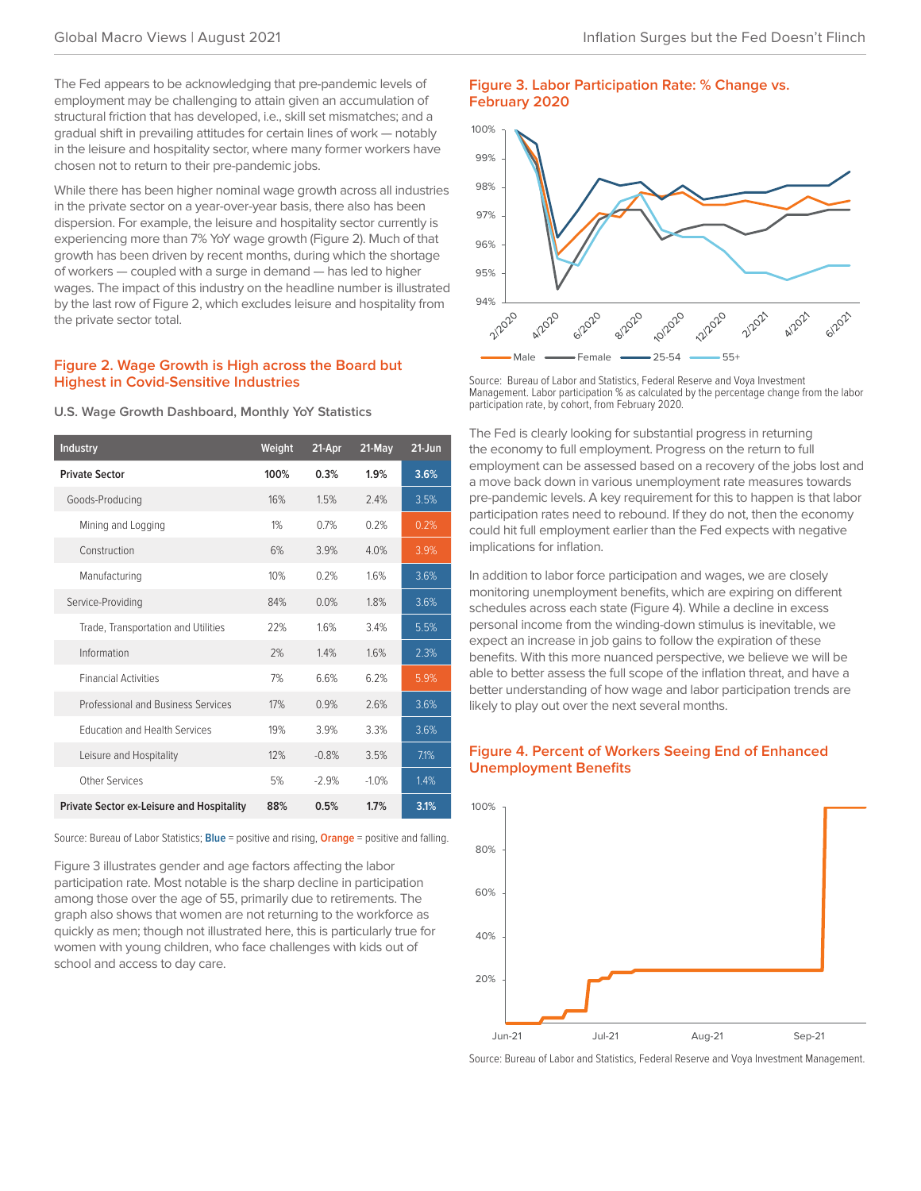The Fed appears to be acknowledging that pre-pandemic levels of employment may be challenging to attain given an accumulation of structural friction that has developed, i.e., skill set mismatches; and a gradual shift in prevailing attitudes for certain lines of work — notably in the leisure and hospitality sector, where many former workers have chosen not to return to their pre-pandemic jobs.

While there has been higher nominal wage growth across all industries in the private sector on a year-over-year basis, there also has been dispersion. For example, the leisure and hospitality sector currently is experiencing more than 7% YoY wage growth (Figure 2). Much of that growth has been driven by recent months, during which the shortage of workers — coupled with a surge in demand — has led to higher wages. The impact of this industry on the headline number is illustrated by the last row of Figure 2, which excludes leisure and hospitality from the private sector total.

## **Figure 2. Wage Growth is High across the Board but Highest in Covid-Sensitive Industries**

| Industry                                         | Weight | 21-Apr  | 21-May  | $21 - Jun$ |
|--------------------------------------------------|--------|---------|---------|------------|
| <b>Private Sector</b>                            | 100%   | 0.3%    | 1.9%    | 3.6%       |
| Goods-Producing                                  | 16%    | 1.5%    | 24%     | 3.5%       |
| Mining and Logging                               | 1%     | 0.7%    | 0.2%    | 0.2%       |
| Construction                                     | 6%     | 3.9%    | 4.0%    | 3.9%       |
| Manufacturing                                    | 10%    | 0.2%    | 16%     | 3.6%       |
| Service-Providing                                | 84%    | 0.0%    | 1.8%    | 3.6%       |
| Trade, Transportation and Utilities              | 22%    | 16%     | 34%     | 5.5%       |
| Information                                      | 2%     | 1.4%    | 1.6%    | 2.3%       |
| <b>Financial Activities</b>                      | 7%     | 66%     | 6.2%    | 5.9%       |
| Professional and Business Services               | 17%    | 0.9%    | 26%     | 3.6%       |
| <b>Education and Health Services</b>             | 19%    | 3.9%    | 3.3%    | 3.6%       |
| Leisure and Hospitality                          | 12%    | $-0.8%$ | 3.5%    | 7.1%       |
| Other Services                                   | 5%     | $-29%$  | $-1.0%$ | 1.4%       |
| <b>Private Sector ex-Leisure and Hospitality</b> | 88%    | 0.5%    | 1.7%    | 3.1%       |

**U.S. Wage Growth Dashboard, Monthly YoY Statistics**

Source: Bureau of Labor Statistics; **Blue** = positive and rising, **Orange** = positive and falling.

Figure 3 illustrates gender and age factors affecting the labor participation rate. Most notable is the sharp decline in participation among those over the age of 55, primarily due to retirements. The graph also shows that women are not returning to the workforce as quickly as men; though not illustrated here, this is particularly true for women with young children, who face challenges with kids out of school and access to day care.

#### **Figure 3. Labor Participation Rate: % Change vs. February 2020**



Source: Bureau of Labor and Statistics, Federal Reserve and Voya Investment Management. Labor participation % as calculated by the percentage change from the labor participation rate, by cohort, from February 2020.

The Fed is clearly looking for substantial progress in returning the economy to full employment. Progress on the return to full employment can be assessed based on a recovery of the jobs lost and a move back down in various unemployment rate measures towards pre-pandemic levels. A key requirement for this to happen is that labor participation rates need to rebound. If they do not, then the economy could hit full employment earlier than the Fed expects with negative implications for inflation.

In addition to labor force participation and wages, we are closely monitoring unemployment benefits, which are expiring on different schedules across each state (Figure 4). While a decline in excess personal income from the winding-down stimulus is inevitable, we expect an increase in job gains to follow the expiration of these benefits. With this more nuanced perspective, we believe we will be able to better assess the full scope of the inflation threat, and have a better understanding of how wage and labor participation trends are likely to play out over the next several months.





Source: Bureau of Labor and Statistics, Federal Reserve and Voya Investment Management.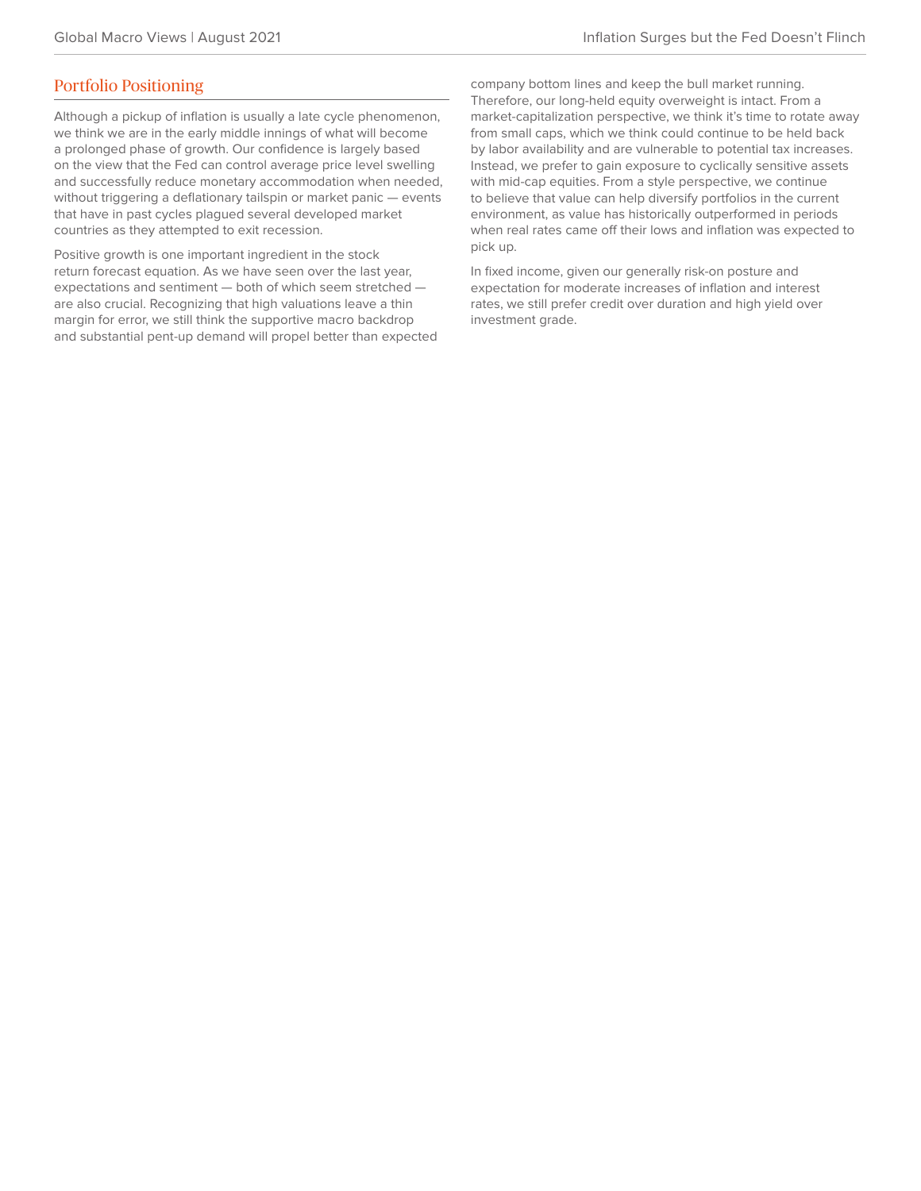## Portfolio Positioning

Although a pickup of inflation is usually a late cycle phenomenon, we think we are in the early middle innings of what will become a prolonged phase of growth. Our confidence is largely based on the view that the Fed can control average price level swelling and successfully reduce monetary accommodation when needed, without triggering a deflationary tailspin or market panic — events that have in past cycles plagued several developed market countries as they attempted to exit recession.

Positive growth is one important ingredient in the stock return forecast equation. As we have seen over the last year, expectations and sentiment — both of which seem stretched are also crucial. Recognizing that high valuations leave a thin margin for error, we still think the supportive macro backdrop and substantial pent-up demand will propel better than expected company bottom lines and keep the bull market running. Therefore, our long-held equity overweight is intact. From a market-capitalization perspective, we think it's time to rotate away from small caps, which we think could continue to be held back by labor availability and are vulnerable to potential tax increases. Instead, we prefer to gain exposure to cyclically sensitive assets with mid-cap equities. From a style perspective, we continue to believe that value can help diversify portfolios in the current environment, as value has historically outperformed in periods when real rates came off their lows and inflation was expected to pick up.

In fixed income, given our generally risk-on posture and expectation for moderate increases of inflation and interest rates, we still prefer credit over duration and high yield over investment grade.